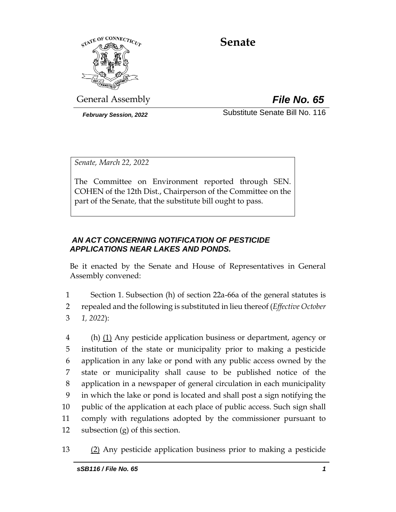

# **Senate**

General Assembly *File No. 65*

*February Session, 2022* Substitute Senate Bill No. 116

*Senate, March 22, 2022*

The Committee on Environment reported through SEN. COHEN of the 12th Dist., Chairperson of the Committee on the part of the Senate, that the substitute bill ought to pass.

### *AN ACT CONCERNING NOTIFICATION OF PESTICIDE APPLICATIONS NEAR LAKES AND PONDS.*

Be it enacted by the Senate and House of Representatives in General Assembly convened:

1 Section 1. Subsection (h) of section 22a-66a of the general statutes is 2 repealed and the following is substituted in lieu thereof (*Effective October*  3 *1, 2022*):

 (h) (1) Any pesticide application business or department, agency or institution of the state or municipality prior to making a pesticide application in any lake or pond with any public access owned by the state or municipality shall cause to be published notice of the application in a newspaper of general circulation in each municipality in which the lake or pond is located and shall post a sign notifying the public of the application at each place of public access. Such sign shall comply with regulations adopted by the commissioner pursuant to subsection (g) of this section.

13 (2) Any pesticide application business prior to making a pesticide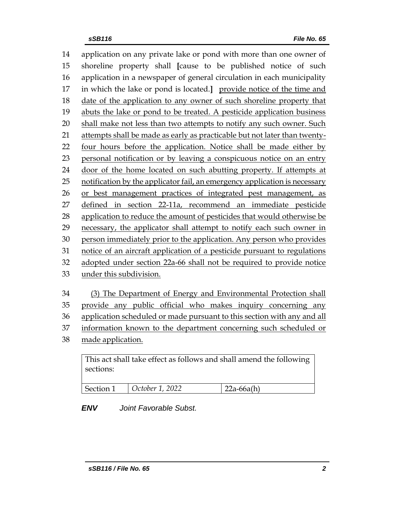application on any private lake or pond with more than one owner of shoreline property shall **[**cause to be published notice of such application in a newspaper of general circulation in each municipality in which the lake or pond is located.**]** provide notice of the time and 18 date of the application to any owner of such shoreline property that abuts the lake or pond to be treated. A pesticide application business shall make not less than two attempts to notify any such owner. Such attempts shall be made as early as practicable but not later than twenty- four hours before the application. Notice shall be made either by personal notification or by leaving a conspicuous notice on an entry door of the home located on such abutting property. If attempts at notification by the applicator fail, an emergency application is necessary or best management practices of integrated pest management, as defined in section 22-11a, recommend an immediate pesticide application to reduce the amount of pesticides that would otherwise be necessary, the applicator shall attempt to notify each such owner in person immediately prior to the application. Any person who provides notice of an aircraft application of a pesticide pursuant to regulations adopted under section 22a-66 shall not be required to provide notice under this subdivision.

 (3) The Department of Energy and Environmental Protection shall provide any public official who makes inquiry concerning any application scheduled or made pursuant to this section with any and all information known to the department concerning such scheduled or

made application.

| This act shall take effect as follows and shall amend the following |  |
|---------------------------------------------------------------------|--|
| sections:                                                           |  |
|                                                                     |  |

| Section 1 | $\vert$ October 1, 2022 | $  22a - 66a(h)$ |
|-----------|-------------------------|------------------|
|-----------|-------------------------|------------------|

# *ENV Joint Favorable Subst.*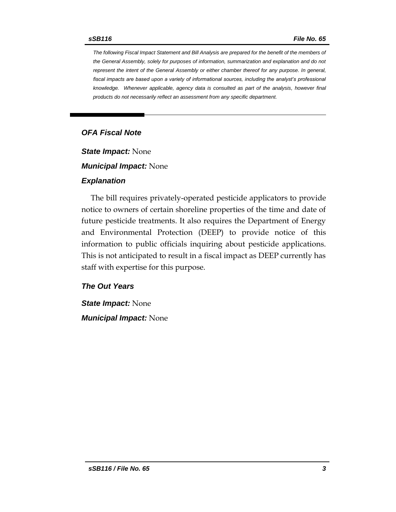*The following Fiscal Impact Statement and Bill Analysis are prepared for the benefit of the members of the General Assembly, solely for purposes of information, summarization and explanation and do not represent the intent of the General Assembly or either chamber thereof for any purpose. In general,*  fiscal impacts are based upon a variety of informational sources, including the analyst's professional *knowledge. Whenever applicable, agency data is consulted as part of the analysis, however final products do not necessarily reflect an assessment from any specific department.*

#### *OFA Fiscal Note*

*State Impact:* None

*Municipal Impact:* None

#### *Explanation*

The bill requires privately-operated pesticide applicators to provide notice to owners of certain shoreline properties of the time and date of future pesticide treatments. It also requires the Department of Energy and Environmental Protection (DEEP) to provide notice of this information to public officials inquiring about pesticide applications. This is not anticipated to result in a fiscal impact as DEEP currently has staff with expertise for this purpose.

#### *The Out Years*

*State Impact:* None *Municipal Impact:* None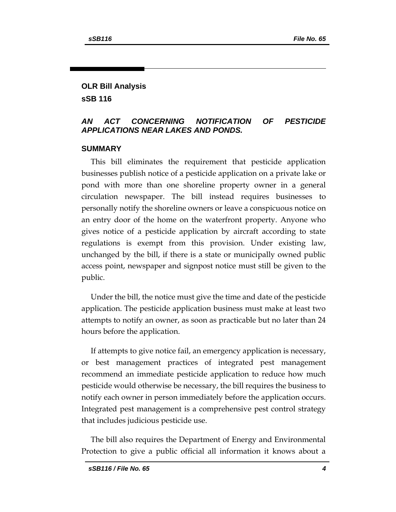#### **OLR Bill Analysis sSB 116**

#### *AN ACT CONCERNING NOTIFICATION OF PESTICIDE APPLICATIONS NEAR LAKES AND PONDS.*

#### **SUMMARY**

This bill eliminates the requirement that pesticide application businesses publish notice of a pesticide application on a private lake or pond with more than one shoreline property owner in a general circulation newspaper. The bill instead requires businesses to personally notify the shoreline owners or leave a conspicuous notice on an entry door of the home on the waterfront property. Anyone who gives notice of a pesticide application by aircraft according to state regulations is exempt from this provision. Under existing law, unchanged by the bill, if there is a state or municipally owned public access point, newspaper and signpost notice must still be given to the public.

Under the bill, the notice must give the time and date of the pesticide application. The pesticide application business must make at least two attempts to notify an owner, as soon as practicable but no later than 24 hours before the application.

If attempts to give notice fail, an emergency application is necessary, or best management practices of integrated pest management recommend an immediate pesticide application to reduce how much pesticide would otherwise be necessary, the bill requires the business to notify each owner in person immediately before the application occurs. Integrated pest management is a comprehensive pest control strategy that includes judicious pesticide use.

The bill also requires the Department of Energy and Environmental Protection to give a public official all information it knows about a